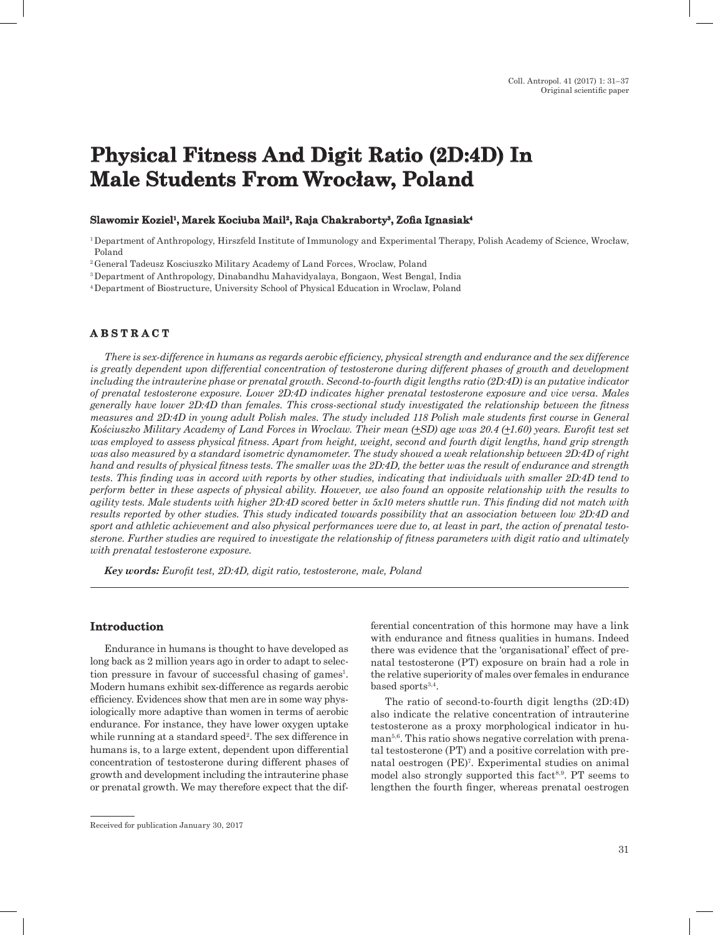# **Physical Fitness And Digit Ratio (2D:4D) In Male Students From Wrocław, Poland**

### **Slawomir Koziel<sup>1</sup>, Marek Kociuba Mail<sup>2</sup>, Raja Chakraborty<sup>3</sup>, Zofia Ignasiak<sup>4</sup>**

<sup>1</sup>Department of Anthropology, Hirszfeld Institute of Immunology and Experimental Therapy, Polish Academy of Science, Wrocław, Poland

<sup>2</sup>General Tadeusz Kosciuszko Military Academy of Land Forces, Wroclaw, Poland

<sup>3</sup>Department of Anthropology, Dinabandhu Mahavidyalaya, Bongaon, West Bengal, India

<sup>4</sup>Department of Biostructure, University School of Physical Education in Wroclaw, Poland

## **A B S T R A C T**

*There is sex-difference in humans as regards aerobic efficiency, physical strength and endurance and the sex difference is greatly dependent upon differential concentration of testosterone during different phases of growth and development including the intrauterine phase or prenatal growth. Second-to-fourth digit lengths ratio (2D:4D) is an putative indicator of prenatal testosterone exposure. Lower 2D:4D indicates higher prenatal testosterone exposure and vice versa. Males generally have lower 2D:4D than females. This cross-sectional study investigated the relationship between the fitness measures and 2D:4D in young adult Polish males. The study included 118 Polish male students first course in General Kościuszko Military Academy of Land Forces in Wroclaw. Their mean (+SD) age was 20.4 (+1.60) years. Eurofit test set was employed to assess physical fitness. Apart from height, weight, second and fourth digit lengths, hand grip strength was also measured by a standard isometric dynamometer. The study showed a weak relationship between 2D:4D of right hand and results of physical fitness tests. The smaller was the 2D:4D, the better was the result of endurance and strength tests. This finding was in accord with reports by other studies, indicating that individuals with smaller 2D:4D tend to perform better in these aspects of physical ability. However, we also found an opposite relationship with the results to agility tests. Male students with higher 2D:4D scored better in 5x10 meters shuttle run. This finding did not match with results reported by other studies. This study indicated towards possibility that an association between low 2D:4D and sport and athletic achievement and also physical performances were due to, at least in part, the action of prenatal testosterone. Further studies are required to investigate the relationship of fitness parameters with digit ratio and ultimately with prenatal testosterone exposure.*

*Key words: Eurofit test, 2D:4D, digit ratio, testosterone, male, Poland*

### **Introduction**

Endurance in humans is thought to have developed as long back as 2 million years ago in order to adapt to selection pressure in favour of successful chasing of games<sup>1</sup>. Modern humans exhibit sex-difference as regards aerobic efficiency. Evidences show that men are in some way physiologically more adaptive than women in terms of aerobic endurance. For instance, they have lower oxygen uptake while running at a standard speed<sup>2</sup>. The sex difference in humans is, to a large extent, dependent upon differential concentration of testosterone during different phases of growth and development including the intrauterine phase or prenatal growth. We may therefore expect that the differential concentration of this hormone may have a link with endurance and fitness qualities in humans. Indeed there was evidence that the 'organisational' effect of prenatal testosterone (PT) exposure on brain had a role in the relative superiority of males over females in endurance based sports<sup>3,4</sup>.

The ratio of second-to-fourth digit lengths (2D:4D) also indicate the relative concentration of intrauterine testosterone as a proxy morphological indicator in human<sup>5,6</sup>. This ratio shows negative correlation with prenatal testosterone (PT) and a positive correlation with prenatal oestrogen (PE)7 . Experimental studies on animal model also strongly supported this fact<sup>8,9</sup>. PT seems to lengthen the fourth finger, whereas prenatal oestrogen

Received for publication January 30, 2017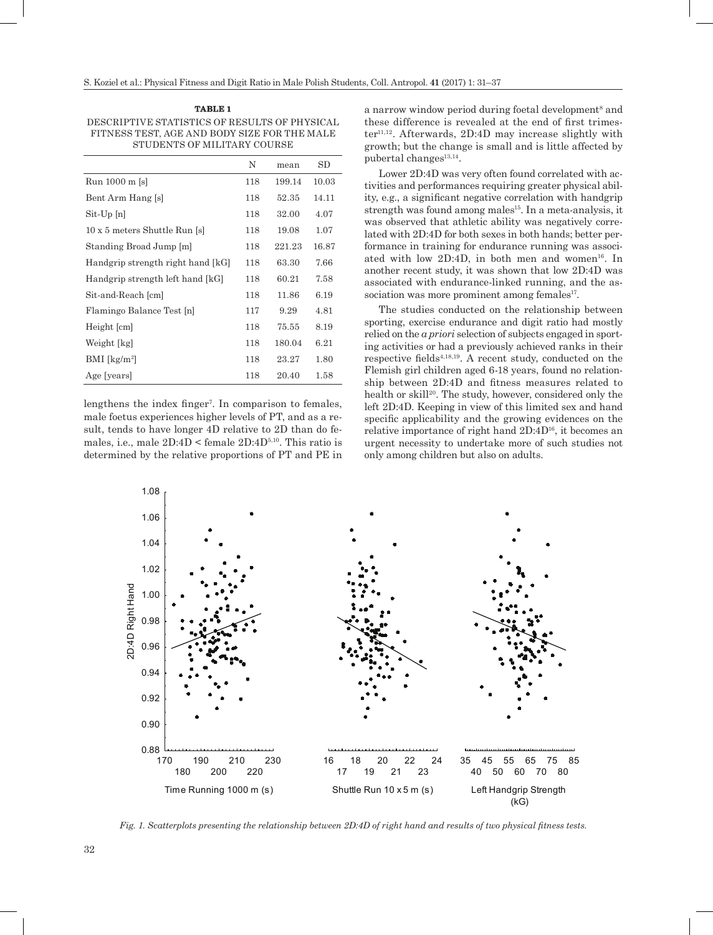| <b>TABLE</b> |  |
|--------------|--|
|              |  |

Descriptive statistics of results of physical fitness test, age and body size for the male students of military course

|                                        | N   | mean   | SD    |
|----------------------------------------|-----|--------|-------|
| Run 1000 m [s]                         | 118 | 199.14 | 10.03 |
| Bent Arm Hang [s]                      | 118 | 52.35  | 14.11 |
| $\mathrm{Sit}\text{-}\mathrm{Up}\ [n]$ | 118 | 32.00  | 4.07  |
| 10 x 5 meters Shuttle Run [s]          | 118 | 19.08  | 1.07  |
| Standing Broad Jump [m]                | 118 | 221.23 | 16.87 |
| Handgrip strength right hand [kG]      | 118 | 63.30  | 7.66  |
| Handgrip strength left hand [kG]       | 118 | 60.21  | 7.58  |
| Sit-and-Reach [cm]                     | 118 | 11.86  | 6.19  |
| Flamingo Balance Test [n]              | 117 | 9.29   | 4.81  |
| Height [cm]                            | 118 | 75.55  | 8.19  |
| Weight [kg]                            | 118 | 180.04 | 6.21  |
| $BMI$ [kg/m <sup>2</sup> ]             | 118 | 23.27  | 1.80  |
| Age [years]                            | 118 | 20.40  | 1.58  |

lengthens the index finger<sup>7</sup>. In comparison to females, male foetus experiences higher levels of PT, and as a result, tends to have longer 4D relative to 2D than do females, i.e., male  $2D:4D <$  female  $2D:4D^{5,10}$ . This ratio is determined by the relative proportions of PT and PE in

a narrow window period during foetal development<sup>8</sup> and these difference is revealed at the end of first trimes $ter<sup>11,12</sup>$ . Afterwards, 2D:4D may increase slightly with growth; but the change is small and is little affected by pubertal changes<sup>13,14</sup>.

Lower 2D:4D was very often found correlated with activities and performances requiring greater physical ability, e.g., a significant negative correlation with handgrip strength was found among males<sup>15</sup>. In a meta-analysis, it was observed that athletic ability was negatively correlated with 2D:4D for both sexes in both hands; better performance in training for endurance running was associated with low  $2D:4D$ , in both men and women<sup>16</sup>. In another recent study, it was shown that low 2D:4D was associated with endurance-linked running, and the association was more prominent among females<sup>17</sup>.

The studies conducted on the relationship between sporting, exercise endurance and digit ratio had mostly relied on the *a priori* selection of subjects engaged in sporting activities or had a previously achieved ranks in their respective fields<sup> $4,18,19$ </sup>. A recent study, conducted on the Flemish girl children aged 6-18 years, found no relationship between 2D:4D and fitness measures related to health or skill<sup>20</sup>. The study, however, considered only the left 2D:4D. Keeping in view of this limited sex and hand specific applicability and the growing evidences on the relative importance of right hand 2D:4D<sup>16</sup>, it becomes an urgent necessity to undertake more of such studies not only among children but also on adults.



*Fig. 1. Scatterplots presenting the relationship between 2D:4D of right hand and results of two physical fitness tests.*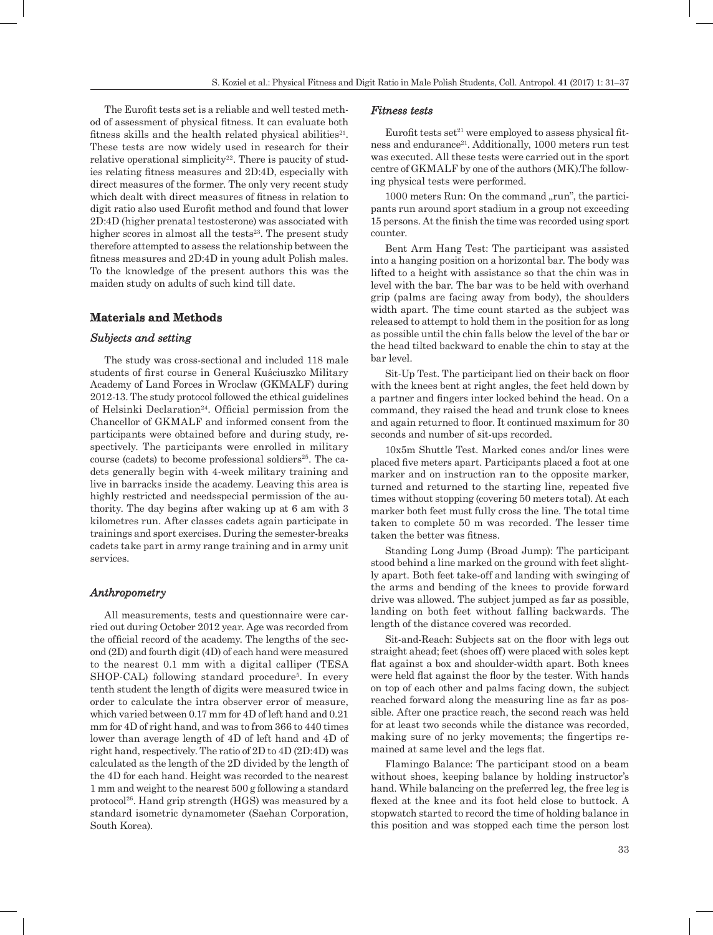The Eurofit tests set is a reliable and well tested method of assessment of physical fitness. It can evaluate both fitness skills and the health related physical abilities $21$ . These tests are now widely used in research for their relative operational simplicity<sup>22</sup>. There is paucity of studies relating fitness measures and 2D:4D, especially with direct measures of the former. The only very recent study which dealt with direct measures of fitness in relation to digit ratio also used Eurofit method and found that lower 2D:4D (higher prenatal testosterone) was associated with higher scores in almost all the tests<sup>23</sup>. The present study therefore attempted to assess the relationship between the fitness measures and 2D:4D in young adult Polish males. To the knowledge of the present authors this was the maiden study on adults of such kind till date.

## **Materials and Methods**

#### *Subjects and setting*

The study was cross-sectional and included 118 male students of first course in General Kuściuszko Military Academy of Land Forces in Wroclaw (GKMALF) during 2012-13. The study protocol followed the ethical guidelines of Helsinki Declaration<sup>24</sup>. Official permission from the Chancellor of GKMALF and informed consent from the participants were obtained before and during study, respectively. The participants were enrolled in military course (cadets) to become professional soldiers<sup>25</sup>. The cadets generally begin with 4-week military training and live in barracks inside the academy. Leaving this area is highly restricted and needsspecial permission of the authority. The day begins after waking up at 6 am with 3 kilometres run. After classes cadets again participate in trainings and sport exercises. During the semester-breaks cadets take part in army range training and in army unit services.

## *Anthropometry*

All measurements, tests and questionnaire were carried out during October 2012 year. Age was recorded from the official record of the academy. The lengths of the second (2D) and fourth digit (4D) of each hand were measured to the nearest 0.1 mm with a digital calliper (TESA SHOP-CAL) following standard procedure<sup>5</sup>. In every tenth student the length of digits were measured twice in order to calculate the intra observer error of measure, which varied between 0.17 mm for 4D of left hand and 0.21 mm for 4D of right hand, and was to from 366 to 440 times lower than average length of 4D of left hand and 4D of right hand, respectively. The ratio of 2D to 4D (2D:4D) was calculated as the length of the 2D divided by the length of the 4D for each hand. Height was recorded to the nearest 1 mm and weight to the nearest 500 g following a standard protocol26. Hand grip strength (HGS) was measured by a standard isometric dynamometer (Saehan Corporation, South Korea).

#### *Fitness tests*

Eurofit tests set $21$  were employed to assess physical fitness and endurance<sup>21</sup>. Additionally, 1000 meters run test was executed. All these tests were carried out in the sport centre of GKMALF by one of the authors (MK).The following physical tests were performed.

1000 meters Run: On the command "run", the participants run around sport stadium in a group not exceeding 15 persons. At the finish the time was recorded using sport counter.

Bent Arm Hang Test: The participant was assisted into a hanging position on a horizontal bar. The body was lifted to a height with assistance so that the chin was in level with the bar. The bar was to be held with overhand grip (palms are facing away from body), the shoulders width apart. The time count started as the subject was released to attempt to hold them in the position for as long as possible until the chin falls below the level of the bar or the head tilted backward to enable the chin to stay at the bar level.

Sit-Up Test. The participant lied on their back on floor with the knees bent at right angles, the feet held down by a partner and fingers inter locked behind the head. On a command, they raised the head and trunk close to knees and again returned to floor. It continued maximum for 30 seconds and number of sit-ups recorded.

10x5m Shuttle Test. Marked cones and/or lines were placed five meters apart. Participants placed a foot at one marker and on instruction ran to the opposite marker, turned and returned to the starting line, repeated five times without stopping (covering 50 meters total). At each marker both feet must fully cross the line. The total time taken to complete 50 m was recorded. The lesser time taken the better was fitness.

Standing Long Jump (Broad Jump): The participant stood behind a line marked on the ground with feet slightly apart. Both feet take-off and landing with swinging of the arms and bending of the knees to provide forward drive was allowed. The subject jumped as far as possible, landing on both feet without falling backwards. The length of the distance covered was recorded.

Sit-and-Reach: Subjects sat on the floor with legs out straight ahead; feet (shoes off) were placed with soles kept flat against a box and shoulder-width apart. Both knees were held flat against the floor by the tester. With hands on top of each other and palms facing down, the subject reached forward along the measuring line as far as possible. After one practice reach, the second reach was held for at least two seconds while the distance was recorded, making sure of no jerky movements; the fingertips remained at same level and the legs flat.

Flamingo Balance: The participant stood on a beam without shoes, keeping balance by holding instructor's hand. While balancing on the preferred leg, the free leg is flexed at the knee and its foot held close to buttock. A stopwatch started to record the time of holding balance in this position and was stopped each time the person lost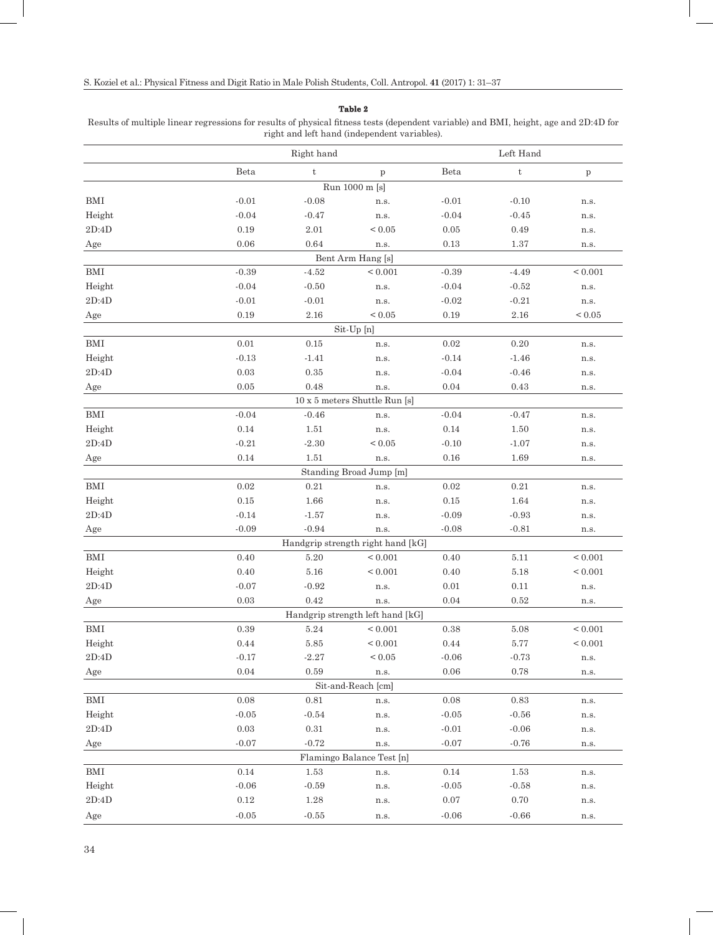#### **Table 2**

Results of multiple linear regressions for results of physical fitness tests (dependent variable) and BMI, height, age and 2D:4D for right and left hand (independent variables).

|                      | Right hand                                     |               | Left Hand                                        |          |                           |              |  |  |
|----------------------|------------------------------------------------|---------------|--------------------------------------------------|----------|---------------------------|--------------|--|--|
|                      | Beta                                           | $^\mathrm{t}$ | $\, {\bf p}$                                     | Beta     | $\ensuremath{\mathbf{t}}$ | $\, {\bf p}$ |  |  |
|                      |                                                |               | Run 1000 m [s]                                   |          |                           |              |  |  |
| <b>BMI</b>           | $-0.01$                                        | $-0.08$       | n.s.                                             | $-0.01$  | $-0.10$                   | n.s.         |  |  |
| Height               | $-0.04$                                        | $-0.47$       | n.s.                                             | $-0.04$  | $-0.45$                   | n.s.         |  |  |
| $2\mathrm{D}$ :4D    | 0.19                                           | $2.01\,$      | ${}_{0.05}$                                      | $0.05\,$ | 0.49                      | n.s.         |  |  |
| Age                  | 0.06                                           | 0.64          | n.s.                                             | 0.13     | 1.37                      | n.s.         |  |  |
| Bent Arm Hang [s]    |                                                |               |                                                  |          |                           |              |  |  |
| BMI                  | $-0.39$                                        | $-4.52$       | < 0.001                                          | $-0.39$  | $-4.49$                   | ${}< 0.001$  |  |  |
| Height               | $-0.04$                                        | $-0.50$       | n.s.                                             | $-0.04$  | $-0.52$                   | n.s.         |  |  |
| 2D:4D                | $-0.01$                                        | $-0.01$       | n.s.                                             | $-0.02$  | $-0.21$                   | n.s.         |  |  |
| Age                  | 0.19                                           | $2.16\,$      | ${}_{0.05}$                                      | 0.19     | 2.16                      | ${}_{0.05}$  |  |  |
| $\operatorname{BMI}$ | Sit-Up [n]<br>$0.01\,$<br>0.15<br>0.02<br>0.20 |               |                                                  |          |                           |              |  |  |
| Height               | $-0.13$                                        | $-1.41$       | n.s.<br>n.s.                                     | $-0.14$  | $-1.46$                   | n.s.<br>n.s. |  |  |
| 2D:4D                | $\rm 0.03$                                     | $\rm 0.35$    | n.s.                                             | $-0.04$  | $-0.46$                   | n.s.         |  |  |
| Age                  | 0.05                                           | 0.48          | n.s.                                             | 0.04     | 0.43                      | n.s.         |  |  |
|                      |                                                |               | 10 x 5 meters Shuttle Run [s]                    |          |                           |              |  |  |
| BMI                  | $-0.04$                                        | $-0.46$       | n.s.                                             | $-0.04$  | $-0.47$                   | n.s.         |  |  |
| Height               | 0.14                                           | $1.51\,$      | n.s.                                             | $0.14\,$ | 1.50                      | n.s.         |  |  |
| 2D:4D                | $-0.21$                                        | $-2.30$       | ${}_{0.05}$                                      | $-0.10$  | $-1.07$                   | n.s.         |  |  |
| Age                  | 0.14                                           | 1.51          | n.s.                                             | 0.16     | 1.69                      | n.s.         |  |  |
|                      |                                                |               | Standing Broad Jump [m]                          |          |                           |              |  |  |
| BMI                  | 0.02                                           | $0.21\,$      | n.s.                                             | $0.02\,$ | 0.21                      | n.s.         |  |  |
| Height               | 0.15                                           | 1.66          | n.s.                                             | $0.15\,$ | 1.64                      | n.s.         |  |  |
| 2D:4D                | $-0.14$                                        | $-1.57$       | n.s.                                             | $-0.09$  | $-0.93$                   | n.s.         |  |  |
| Age                  | $-0.09$                                        | $-0.94$       | n.s.                                             | $-0.08$  | $-0.81$                   | n.s.         |  |  |
|                      |                                                |               | Handgrip strength right hand [kG]                |          |                           |              |  |  |
| BMI                  | 0.40                                           | 5.20          | ${}_{0.001}$                                     | 0.40     | 5.11                      | ${}< 0.001$  |  |  |
| Height               | 0.40                                           | $5.16\,$      | ${}< 0.001$                                      | 0.40     | 5.18                      | ${}_{0.001}$ |  |  |
| 2D:4D                | $-0.07$                                        | $-0.92$       | n.s.                                             | 0.01     | 0.11                      | n.s.         |  |  |
| Age                  | $\rm 0.03$                                     | 0.42          | n.s.                                             | 0.04     | 0.52                      | n.s.         |  |  |
| BMI                  | 0.39                                           | 5.24          | Handgrip strength left hand [kG]<br>${}_{0.001}$ | 0.38     | 5.08                      | ${}_{0.001}$ |  |  |
| Height               | $0.44\,$                                       | $5.85\,$      | ${}_{0.001}$                                     | $0.44\,$ | $5.77\,$                  | $\leq 0.001$ |  |  |
| 2D:4D                | $-0.17$                                        | $-2.27$       | ${}_{0.05}$                                      | $-0.06$  | $-0.73$                   | n.s.         |  |  |
| Age                  | 0.04                                           | 0.59          | n.s.                                             | 0.06     | 0.78                      | n.s.         |  |  |
|                      |                                                |               | Sit-and-Reach [cm]                               |          |                           |              |  |  |
| BMI                  | 0.08                                           | $0.81\,$      | n.s.                                             | 0.08     | 0.83                      | n.s.         |  |  |
| Height               | $-0.05$                                        | $-0.54$       | n.s.                                             | $-0.05$  | $-0.56$                   | n.s.         |  |  |
| 2D:4D                | 0.03                                           | $0.31\,$      | n.s.                                             | $-0.01$  | $-0.06$                   | n.s.         |  |  |
| Age                  | $-0.07$                                        | $-0.72$       | n.s.                                             | $-0.07$  | $-0.76$                   | n.s.         |  |  |
|                      | Flamingo Balance Test [n]                      |               |                                                  |          |                           |              |  |  |
| BMI                  | 0.14                                           | 1.53          | n.s.                                             | $0.14\,$ | 1.53                      | n.s.         |  |  |
| Height               | $-0.06$                                        | $-0.59$       | n.s.                                             | $-0.05$  | $-0.58$                   | n.s.         |  |  |
| $2\mathrm{D:4D}$     | $0.12\,$                                       | $1.28\,$      | n.s.                                             | 0.07     | $0.70\,$                  | n.s.         |  |  |
| Age                  | $-0.05$                                        | $-0.55$       | n.s.                                             | $-0.06$  | $-0.66$                   | n.s.         |  |  |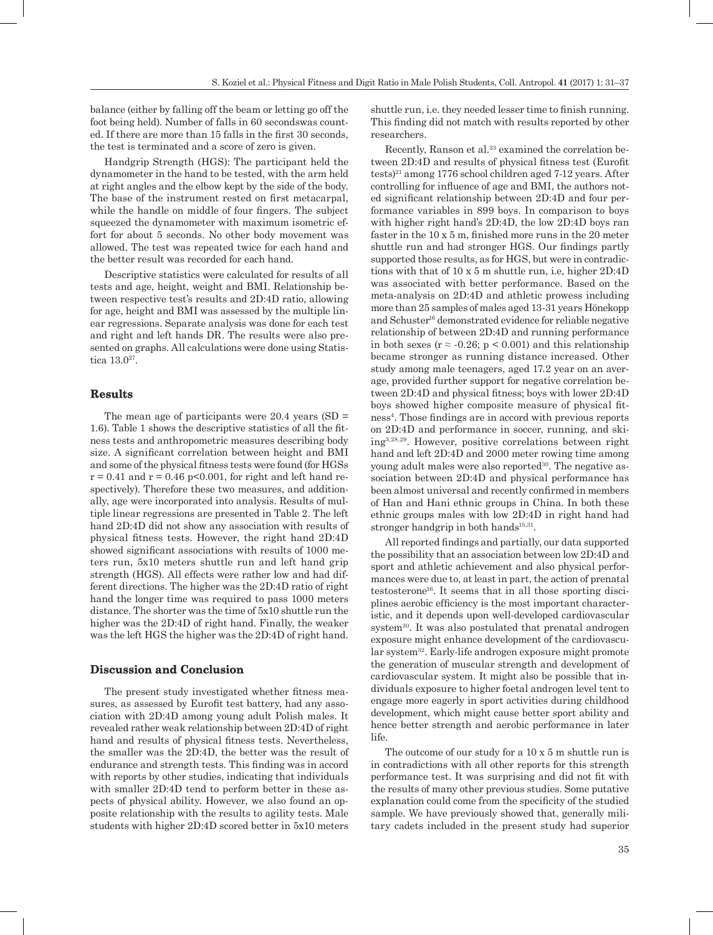balance (either by falling off the beam or letting go off the foot being held). Number of falls in 60 secondswas counted. If there are more than 15 falls in the first 30 seconds, the test is terminated and a score of zero is given.

Handgrip Strength (HGS): The participant held the dynamometer in the hand to be tested, with the arm held at right angles and the elbow kept by the side of the body. The base of the instrument rested on first metacarpal, while the handle on middle of four fingers. The subject squeezed the dynamometer with maximum isometric effort for about 5 seconds. No other body movement was allowed. The test was repeated twice for each hand and the better result was recorded for each hand.

Descriptive statistics were calculated for results of all tests and age, height, weight and BMI. Relationship between respective test's results and 2D:4D ratio, allowing for age, height and BMI was assessed by the multiple linear regressions. Separate analysis was done for each test and right and left hands DR. The results were also presented on graphs. All calculations were done using Statistica 13.027.

#### **Results**

The mean age of participants were  $20.4$  years (SD = 1.6). Table 1 shows the descriptive statistics of all the fitness tests and anthropometric measures describing body size. A significant correlation between height and BMI and some of the physical fitness tests were found (for HGSs  $r = 0.41$  and  $r = 0.46$  p<0.001, for right and left hand respectively). Therefore these two measures, and additionally, age were incorporated into analysis. Results of multiple linear regressions are presented in Table 2. The left hand 2D:4D did not show any association with results of physical fitness tests. However, the right hand 2D:4D showed significant associations with results of 1000 meters run, 5x10 meters shuttle run and left hand grip strength (HGS). All effects were rather low and had different directions. The higher was the 2D:4D ratio of right hand the longer time was required to pass 1000 meters distance. The shorter was the time of 5x10 shuttle run the higher was the 2D:4D of right hand. Finally, the weaker was the left HGS the higher was the 2D:4D of right hand.

#### **Discussion and Conclusion**

The present study investigated whether fitness measures, as assessed by Eurofit test battery, had any association with 2D:4D among young adult Polish males. It revealed rather weak relationship between 2D:4D of right hand and results of physical fitness tests. Nevertheless, the smaller was the 2D:4D, the better was the result of endurance and strength tests. This finding was in accord with reports by other studies, indicating that individuals with smaller 2D:4D tend to perform better in these aspects of physical ability. However, we also found an opposite relationship with the results to agility tests. Male students with higher 2D:4D scored better in 5x10 meters shuttle run, i.e. they needed lesser time to finish running. This finding did not match with results reported by other researchers.

Recently, Ranson et al.<sup>23</sup> examined the correlation between 2D:4D and results of physical fitness test (Eurofit tests)<sup>21</sup> among 1776 school children aged 7-12 years. After controlling for influence of age and BMI, the authors noted significant relationship between 2D:4D and four performance variables in 899 boys. In comparison to boys with higher right hand's 2D:4D, the low 2D:4D boys ran faster in the 10 x 5 m, finished more runs in the 20 meter shuttle run and had stronger HGS. Our findings partly supported those results, as for HGS, but were in contradictions with that of 10 x 5 m shuttle run, i.e, higher 2D:4D was associated with better performance. Based on the meta-analysis on 2D:4D and athletic prowess including more than 25 samples of males aged 13-31 years Hönekopp and Schuster<sup>16</sup> demonstrated evidence for reliable negative relationship of between 2D:4D and running performance in both sexes ( $r \approx -0.26$ ;  $p \le 0.001$ ) and this relationship became stronger as running distance increased. Other study among male teenagers, aged 17.2 year on an average, provided further support for negative correlation between 2D:4D and physical fitness; boys with lower 2D:4D boys showed higher composite measure of physical fitness4. Those findings are in accord with previous reports on 2D:4D and performance in soccer, running, and skiing3,28,29. However, positive correlations between right hand and left 2D:4D and 2000 meter rowing time among young adult males were also reported<sup>30</sup>. The negative association between 2D:4D and physical performance has been almost universal and recently confirmed in members of Han and Hani ethnic groups in China. In both these ethnic groups males with low 2D:4D in right hand had stronger handgrip in both hands $15,31$ .

All reported findings and partially, our data supported the possibility that an association between low 2D:4D and sport and athletic achievement and also physical performances were due to, at least in part, the action of prenatal testosterone<sup>16</sup>. It seems that in all those sporting disciplines aerobic efficiency is the most important characteristic, and it depends upon well-developed cardiovascular system<sup>30</sup>. It was also postulated that prenatal androgen exposure might enhance development of the cardiovascular system<sup>32</sup>. Early-life androgen exposure might promote the generation of muscular strength and development of cardiovascular system. It might also be possible that individuals exposure to higher foetal androgen level tent to engage more eagerly in sport activities during childhood development, which might cause better sport ability and hence better strength and aerobic performance in later life.

The outcome of our study for a 10 x 5 m shuttle run is in contradictions with all other reports for this strength performance test. It was surprising and did not fit with the results of many other previous studies. Some putative explanation could come from the specificity of the studied sample. We have previously showed that, generally military cadets included in the present study had superior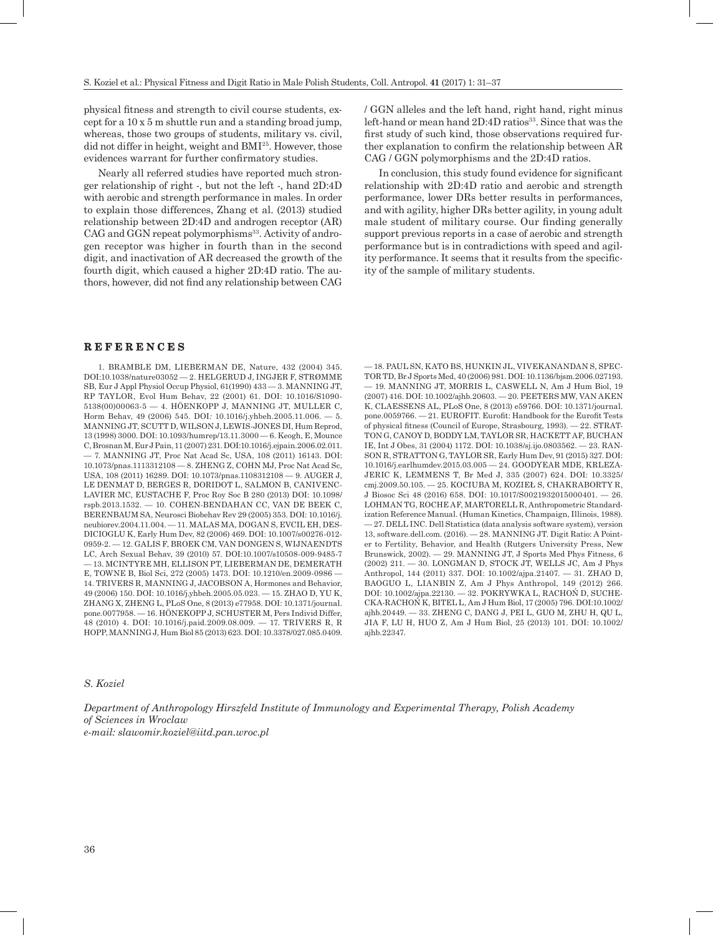physical fitness and strength to civil course students, except for a 10 x 5 m shuttle run and a standing broad jump, whereas, those two groups of students, military vs. civil, did not differ in height, weight and BMI<sup>25</sup>. However, those evidences warrant for further confirmatory studies.

Nearly all referred studies have reported much stronger relationship of right -, but not the left -, hand 2D:4D with aerobic and strength performance in males. In order to explain those differences, Zhang et al. (2013) studied relationship between 2D:4D and androgen receptor (AR) CAG and GGN repeat polymorphisms<sup>33</sup>. Activity of androgen receptor was higher in fourth than in the second digit, and inactivation of AR decreased the growth of the fourth digit, which caused a higher 2D:4D ratio. The authors, however, did not find any relationship between CAG

#### **R E F E R E N C E S**

1. BRAMBLE DM, LIEBERMAN DE, Nature, 432 (2004) 345. DOI:10.1038/nature03052 — 2. [HELGERUD J](http://www.ncbi.nlm.nih.gov/pubmed/?term=Helgerud J%5BAuthor%5D&cauthor=true&cauthor_uid=2079063), [INGJER F](http://www.ncbi.nlm.nih.gov/pubmed/?term=Ingjer F%5BAuthor%5D&cauthor=true&cauthor_uid=2079063), [STRØMME](http://www.ncbi.nlm.nih.gov/pubmed/?term=Str%C3%B8mme SB%5BAuthor%5D&cauthor=true&cauthor_uid=2079063)  [SB,](http://www.ncbi.nlm.nih.gov/pubmed/?term=Str%C3%B8mme SB%5BAuthor%5D&cauthor=true&cauthor_uid=2079063) [Eur J Appl Physiol Occup Physiol,](http://www.ncbi.nlm.nih.gov/pubmed/2079063) 61(1990) 433 — 3. MANNING JT, RP TAYLOR, Evol Hum Behav, 22 (2001) 61. DOI: 10.1016/S1090- 5138(00)00063-5 — 4. HÖENKOPP J, MANNING JT, MULLER C, Horm Behav, 49 (2006) 545. DOI*:* 10.1016/j.yhbeh.2005.11.006. — 5. MANNING JT, SCUTT D, WILSON J, LEWIS-JONES DI, Hum Reprod, 13 (1998) 3000. DOI: 10.1093/humrep/13.11.3000 — 6. Keogh, E, Mounce C, Brosnan M, Eur J Pain, 11 (2007) 231. DOI[:10.1016/j.ejpain.2006.02.011.](https://dx.doi.org/10.1016/j.ejpain.2006.02.011) — 7. MANNING JT, Proc Nat Acad Sc, USA, 108 (2011) 16143. DOI: 10.1073/pnas.1113312108 — 8. ZHENG Z, COHN MJ, Proc Nat Acad Sc, USA, 108 (2011) 16289. DOI: 10.1073/pnas.1108312108 — 9. AUGER J, LE DENMAT D, BERGES R, DORIDOT L, SALMON B, CANIVENC-LAVIER MC, EUSTACHE F, Proc Roy Soc B 280 (2013) DOI: 10.1098/ rspb.2013.1532. — 10. COHEN-BENDAHAN CC, VAN DE BEEK C, BERENBAUM SA, Neurosci Biobehav Rev 29 (2005) 353. DOI: 10.1016/j. neubiorev.2004.11.004. — 11. MALAS MA, DOGAN S, EVCIL EH, DES-DICIOGLU K, Early Hum Dev, 82 (2006) 469. DOI: 10.1007/s00276-012- 0959-2. — 12. GALIS F, BROEK CM, VAN DONGEN S, WIJNAENDTS LC, Arch Sexual Behav, 39 (2010) 57. DOI:10.1007/s10508-009-9485-7 — 13. MCINTYRE MH, ELLISON PT, LIEBERMAN DE, DEMERATH E, TOWNE B, Biol Sci, 272 (2005) 1473. DOI: 10.1210/en.2009-0986 — 14. TRIVERS R, MANNING J, JACOBSON A, Hormones and Behavior, 49 (2006) 150. DOI: [10.1016/j.yhbeh.2005.05.023.](https://dx.doi.org/10.1016/j.yhbeh.2005.05.023) — 15. ZHAO D, YU K, ZHANG X, ZHENG L, PLoS One, 8 (2013) e77958. DOI: 10.1371/journal. pone.0077958. — 16. HÖNEKOPP J, SCHUSTER M, Pers Individ Differ, 48 (2010) 4. DOI: 10.1016/j.paid.2009.08.009. — 17. TRIVERS R, R HOPP, MANNING J, Hum Biol 85 (2013) 623. DOI: 10.3378/027.085.0409.

/ GGN alleles and the left hand, right hand, right minus left-hand or mean hand 2D:4D ratios<sup>33</sup>. Since that was the first study of such kind, those observations required further explanation to confirm the relationship between AR CAG / GGN polymorphisms and the 2D:4D ratios.

In conclusion, this study found evidence for significant relationship with 2D:4D ratio and aerobic and strength performance, lower DRs better results in performances, and with agility, higher DRs better agility, in young adult male student of military course. Our finding generally support previous reports in a case of aerobic and strength performance but is in contradictions with speed and agility performance. It seems that it results from the specificity of the sample of military students.

— 18. PAUL SN, KATO BS, HUNKIN JL, VIVEKANANDAN S, SPEC-TOR TD, Br J Sports Med, 40 (2006) 981. DOI: 10.1136/bjsm.2006.027193. — 19. MANNING JT, MORRIS L, CASWELL N, Am J Hum Biol, 19 (2007) 416. DOI: 10.1002/ajhb.20603. — 20. PEETERS MW, VAN AKEN K, CLAESSENS AL, PLoS One, 8 (2013) e59766. DOI: [10.1371/journal.](https://dx.doi.org/10.1371%2Fjournal.pone.0059766) [pone.0059766.](https://dx.doi.org/10.1371%2Fjournal.pone.0059766) — 21. EUROFIT. Eurofit: Handbook for the Eurofit Tests of physical fitness (Council of Europe, Strasbourg, 1993). — 22. STRAT-TON G, CANOY D, BODDY LM, TAYLOR SR, HACKETT AF, BUCHAN IE, Int J Obes, 31 (2004) 1172. DOI: [10.1038/sj.ijo.0803562.](https://dx.doi.org/10.1038/sj.ijo.0803562) — 23. RAN-SON R, STRATTON G, TAYLOR SR, Early Hum Dev, 91 (2015) 327. DOI: 10.1016/j.earlhumdev.2015.03.005 — 24. GOODYEAR MDE, KRLEZA-JERIC K, LEMMENS T, Br Med J, 335 (2007) 624. DOI: 10.3325/ cmj.2009.50.105. — 25. KOCIUBA M, KOZIEŁ S, CHAKRABORTY R, J Biosoc Sci 48 (2016) 658. DOI: 10.1017/S0021932015000401. — 26. LOHMAN TG, ROCHE AF, MARTORELL R, Anthropometric Standardization Reference Manual. (Human Kinetics, Champaign, Illinois, 1988). — 27. DELL INC. Dell Statistica (data analysis software system), version 13, software.dell.com. (2016). — 28. MANNING JT. Digit Ratio: A Pointer to Fertility, Behavior, and Health (Rutgers University Press, New Brunswick, 2002). — 29. MANNING JT, J Sports Med Phys Fitness, 6 (2002) 211. — 30. [LONGMAN D](https://www.ncbi.nlm.nih.gov/pubmed/?term=Longman D%5BAuthor%5D&cauthor=true&cauthor_uid=21302261), [STOCK JT](https://www.ncbi.nlm.nih.gov/pubmed/?term=Stock JT%5BAuthor%5D&cauthor=true&cauthor_uid=21302261), [WELLS JC](https://www.ncbi.nlm.nih.gov/pubmed/?term=Wells JC%5BAuthor%5D&cauthor=true&cauthor_uid=21302261), Am J Phys Anthropol, 144 (2011) 337. DOI: 10.1002/ajpa.21407. — 31. ZHAO D, BAOGUO L, LIANBIN Z, Am J Phys Anthropol, 149 (2012) 266. DOI: [10.1002/ajpa.22130](http://dx.doi.org/10.1002/ajpa.22130). — 32. [POKRYWKA L](https://www.ncbi.nlm.nih.gov/pubmed/?term=Pokrywka L%5BAuthor%5D&cauthor=true&cauthor_uid=16254897), RACHOŃ D, [SUCHE](https://www.ncbi.nlm.nih.gov/pubmed/?term=Suchecka-Racho%C5%84 K%5BAuthor%5D&cauthor=true&cauthor_uid=16254897)-[CKA-RACHOŃ K,](https://www.ncbi.nlm.nih.gov/pubmed/?term=Suchecka-Racho%C5%84 K%5BAuthor%5D&cauthor=true&cauthor_uid=16254897) [BITEL L,](https://www.ncbi.nlm.nih.gov/pubmed/?term=Bitel L%5BAuthor%5D&cauthor=true&cauthor_uid=16254897) [Am J Hum Biol,](https://www.ncbi.nlm.nih.gov/pubmed/16254897) 17 (2005) 796. DOI:10.1002/ ajhb.20449. — 33. ZHENG C, DANG J, PEI L, GUO M, ZHU H, QU L, JIA F, LU H, HUO Z, Am J Hum Biol, 25 (2013) 101. DOI: 10.1002/ ajhb.22347.

#### *S. Koziel*

*Department of Anthropology Hirszfeld Institute of Immunology and Experimental Therapy, Polish Academy of Sciences in Wroclaw e-mail: slawomir.koziel@iitd.pan.wroc.pl*